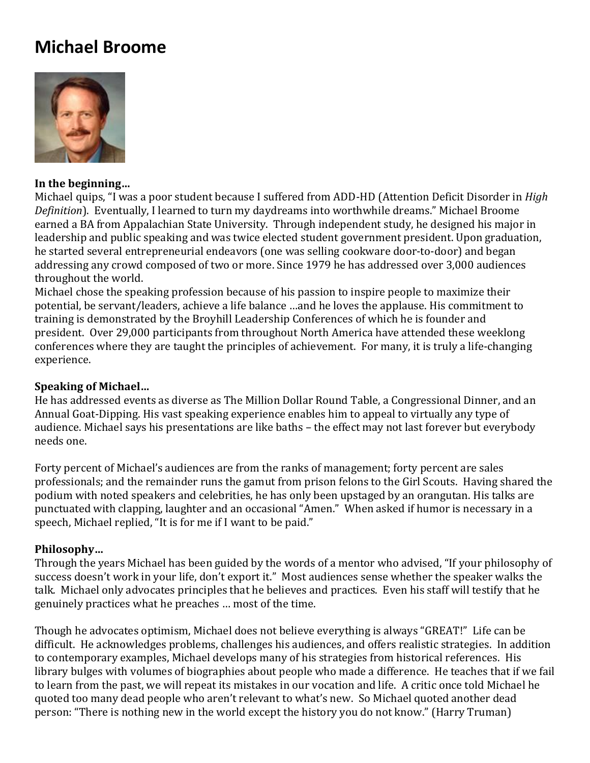# **Michael Broome**



#### **In the beginning…**

Michael quips, "I was a poor student because I suffered from ADD-HD (Attention Deficit Disorder in *High Definition*). Eventually, I learned to turn my daydreams into worthwhile dreams." Michael Broome earned a BA from Appalachian State University. Through independent study, he designed his major in leadership and public speaking and was twice elected student government president. Upon graduation, he started several entrepreneurial endeavors (one was selling cookware door-to-door) and began addressing any crowd composed of two or more. Since 1979 he has addressed over 3,000 audiences throughout the world.

Michael chose the speaking profession because of his passion to inspire people to maximize their potential, be servant/leaders, achieve a life balance …and he loves the applause. His commitment to training is demonstrated by the Broyhill Leadership Conferences of which he is founder and president. Over 29,000 participants from throughout North America have attended these weeklong conferences where they are taught the principles of achievement. For many, it is truly a life-changing experience.

#### **Speaking of Michael…**

He has addressed events as diverse as The Million Dollar Round Table, a Congressional Dinner, and an Annual Goat-Dipping. His vast speaking experience enables him to appeal to virtually any type of audience. Michael says his presentations are like baths – the effect may not last forever but everybody needs one.

Forty percent of Michael's audiences are from the ranks of management; forty percent are sales professionals; and the remainder runs the gamut from prison felons to the Girl Scouts. Having shared the podium with noted speakers and celebrities, he has only been upstaged by an orangutan. His talks are punctuated with clapping, laughter and an occasional "Amen." When asked if humor is necessary in a speech, Michael replied, "It is for me if I want to be paid."

#### **Philosophy…**

Through the years Michael has been guided by the words of a mentor who advised, "If your philosophy of success doesn't work in your life, don't export it." Most audiences sense whether the speaker walks the talk. Michael only advocates principles that he believes and practices. Even his staff will testify that he genuinely practices what he preaches … most of the time.

Though he advocates optimism, Michael does not believe everything is always "GREAT!" Life can be difficult. He acknowledges problems, challenges his audiences, and offers realistic strategies. In addition to contemporary examples, Michael develops many of his strategies from historical references. His library bulges with volumes of biographies about people who made a difference. He teaches that if we fail to learn from the past, we will repeat its mistakes in our vocation and life. A critic once told Michael he quoted too many dead people who aren't relevant to what's new. So Michael quoted another dead person: "There is nothing new in the world except the history you do not know." (Harry Truman)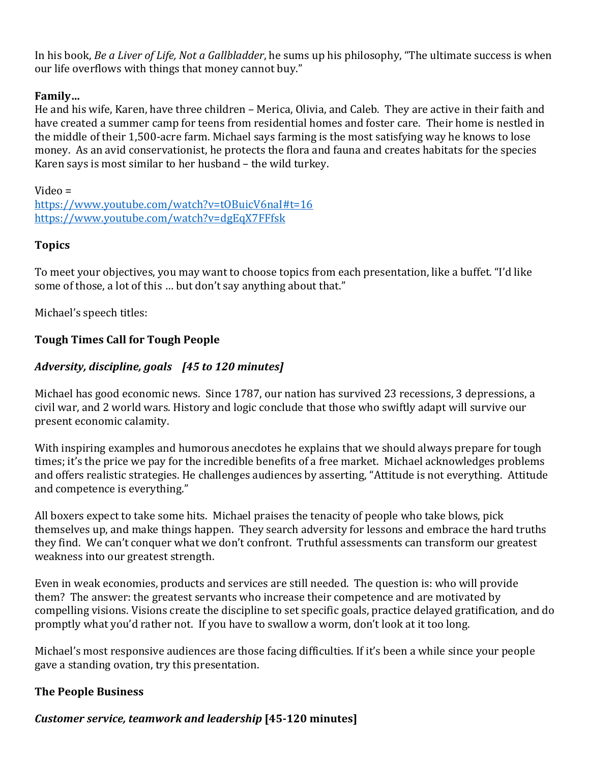In his book, *Be a Liver of Life, Not a Gallbladder*, he sums up his philosophy, "The ultimate success is when our life overflows with things that money cannot buy."

# **Family…**

He and his wife, Karen, have three children – Merica, Olivia, and Caleb. They are active in their faith and have created a summer camp for teens from residential homes and foster care. Their home is nestled in the middle of their 1,500-acre farm. Michael says farming is the most satisfying way he knows to lose money. As an avid conservationist, he protects the flora and fauna and creates habitats for the species Karen says is most similar to her husband – the wild turkey.

Video = [https://www.youtube.com/watch?v=tOBuicV6naI#t=16](https://urldefense.proofpoint.com/v2/url?u=https-3A__www.youtube.com_watch-3Fv-3DtOBuicV6naI-23t-3D16&d=DwMFAw&c=qKdtBuuu6dQK9MsRUVJ2DPXW6oayO8fu4TfEHS8sGNk&r=1uq3uxp2TyWmZ44XjVhUUA&m=Rqo-0fc7k4GC-OqsNUWH820CGuRZaFWe714BbcizTos&s=Bu-1b_pWQyGR1MYL8UXc1EW6zzs1vG9fMhXMqHQHPpU&e=) [https://www.youtube.com/watch?v=dgEqX7FFfsk](https://urldefense.proofpoint.com/v2/url?u=https-3A__www.youtube.com_watch-3Fv-3DdgEqX7FFfsk&d=DwMFAw&c=qKdtBuuu6dQK9MsRUVJ2DPXW6oayO8fu4TfEHS8sGNk&r=1uq3uxp2TyWmZ44XjVhUUA&m=Rqo-0fc7k4GC-OqsNUWH820CGuRZaFWe714BbcizTos&s=JwoayHO9qLVw91_lu98Q3Vt5M7J7oP5pjvORC57LzhY&e=)

# **Topics**

To meet your objectives, you may want to choose topics from each presentation, like a buffet. "I'd like some of those, a lot of this … but don't say anything about that."

Michael's speech titles:

# **Tough Times Call for Tough People**

# *Adversity, discipline, goals [45 to 120 minutes]*

Michael has good economic news. Since 1787, our nation has survived 23 recessions, 3 depressions, a civil war, and 2 world wars. History and logic conclude that those who swiftly adapt will survive our present economic calamity.

With inspiring examples and humorous anecdotes he explains that we should always prepare for tough times; it's the price we pay for the incredible benefits of a free market. Michael acknowledges problems and offers realistic strategies. He challenges audiences by asserting, "Attitude is not everything. Attitude and competence is everything."

All boxers expect to take some hits. Michael praises the tenacity of people who take blows, pick themselves up, and make things happen. They search adversity for lessons and embrace the hard truths they find. We can't conquer what we don't confront. Truthful assessments can transform our greatest weakness into our greatest strength.

Even in weak economies, products and services are still needed. The question is: who will provide them? The answer: the greatest servants who increase their competence and are motivated by compelling visions. Visions create the discipline to set specific goals, practice delayed gratification, and do promptly what you'd rather not. If you have to swallow a worm, don't look at it too long.

Michael's most responsive audiences are those facing difficulties. If it's been a while since your people gave a standing ovation, try this presentation.

### **The People Business**

# *Customer service, teamwork and leadership* **[45-120 minutes]**